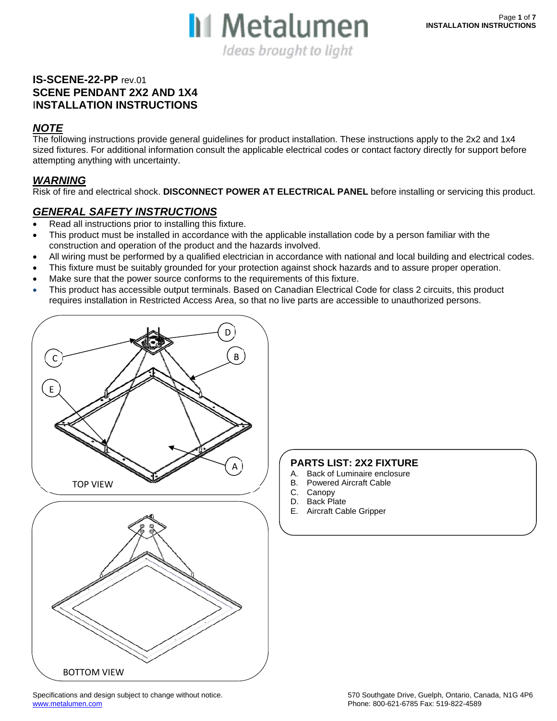

#### **IS-SCENE-22-PP** rev.01 **SCENE PENDANT 2X2 AND 1X4**  I**NSTALLATION INSTRUCTIONS**

#### *NOTE*

The following instructions provide general guidelines for product installation. These instructions apply to the 2x2 and 1x4 sized fixtures. For additional information consult the applicable electrical codes or contact factory directly for support before attempting anything with uncertainty.

#### *WARNING*

Risk of fire and electrical shock. **DISCONNECT POWER AT ELECTRICAL PANEL** before installing or servicing this product.

#### *GENERAL SAFETY INSTRUCTIONS*

- Read all instructions prior to installing this fixture.
- This product must be installed in accordance with the applicable installation code by a person familiar with the construction and operation of the product and the hazards involved.
- All wiring must be performed by a qualified electrician in accordance with national and local building and electrical codes.
- This fixture must be suitably grounded for your protection against shock hazards and to assure proper operation.
- Make sure that the power source conforms to the requirements of this fixture.
- This product has accessible output terminals. Based on Canadian Electrical Code for class 2 circuits, this product requires installation in Restricted Access Area, so that no live parts are accessible to unauthorized persons.



#### **PARTS LIST: 2X2 FIXTURE**

- A. Back of Luminaire enclosure
- B. Powered Aircraft Cable
- C. Canopy
- D. Back Plate
- E. Aircraft Cable Gripper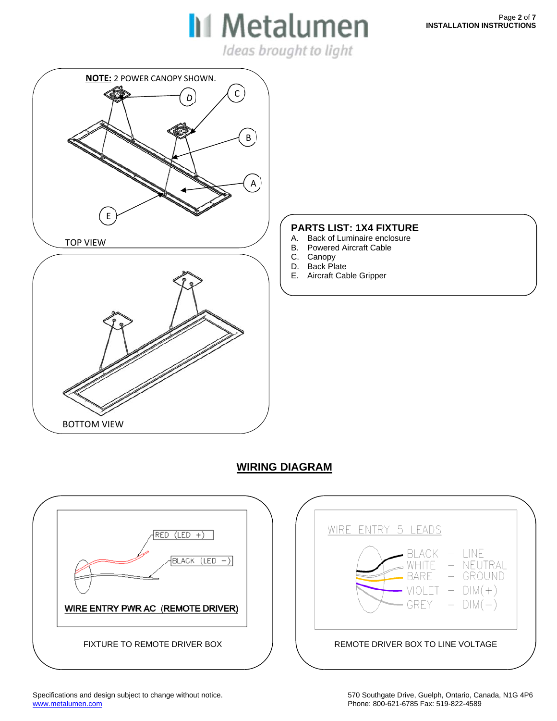$\mathbf{u}$  is interaction Ideas brought to light

# **NOTE:** 2 POWER CANOPY SHOWN.C D B A E TOP VIEW BOTTOM VIEW

#### **PARTS LIST: 1X4 FIXTURE**

- A. Back of Luminaire enclosure
- B. Powered Aircraft Cable
- C. Canopy
- D. Back Plate
- E. Aircraft Cable Gripper

WIRE

### **WIRING DIAGRAM**



BLACK – LINE<br>WHITE – NEUTRAL<br>BARE – GROUND

 $VIOLET - DIM(+)$ 

 $-$  DIM $(-)$ 

ENTRY 5 LEADS

GREY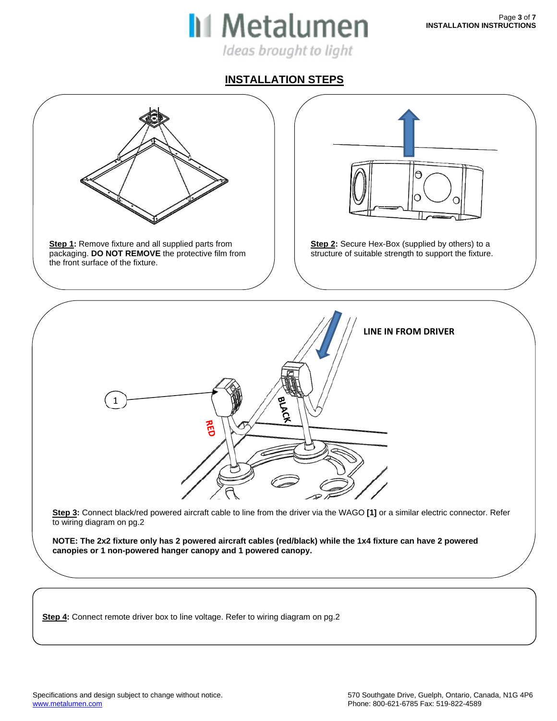

### **INSTALLATION STEPS**



**Step 4:** Connect remote driver box to line voltage. Refer to wiring diagram on pg.2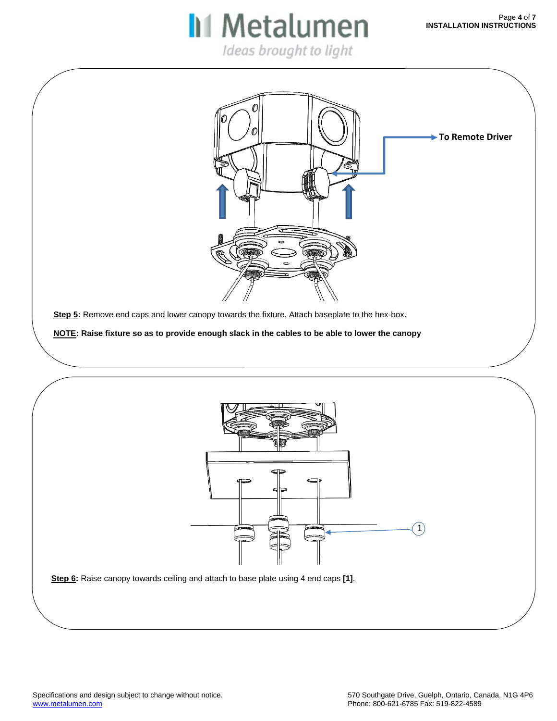**II** Metalumen

**Step 6:** Raise canopy towards ceiling and attach to base plate using 4 end caps **[1]**.  $\boxed{1}$ Step 5: Remove end caps and lower canopy towards the fixture. Attach baseplate to the hex-box. **NOTE: Raise fixture so as to provide enough slack in the cables to be able to lower the canopy To Remote Driver**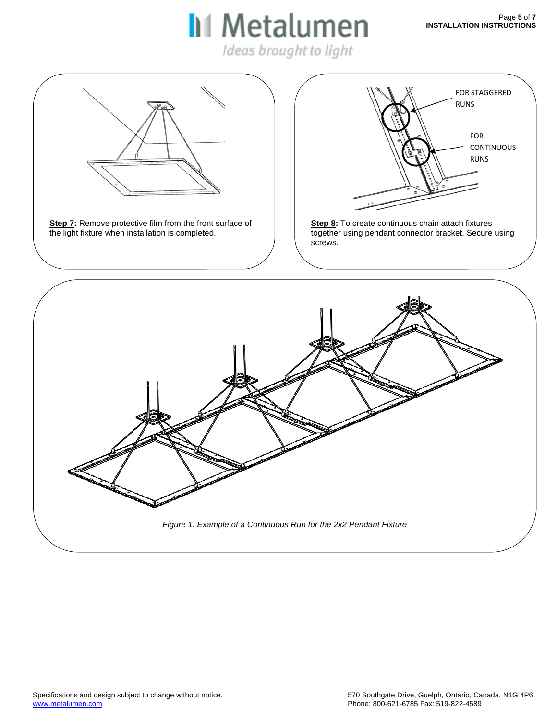# **II** Metalumen

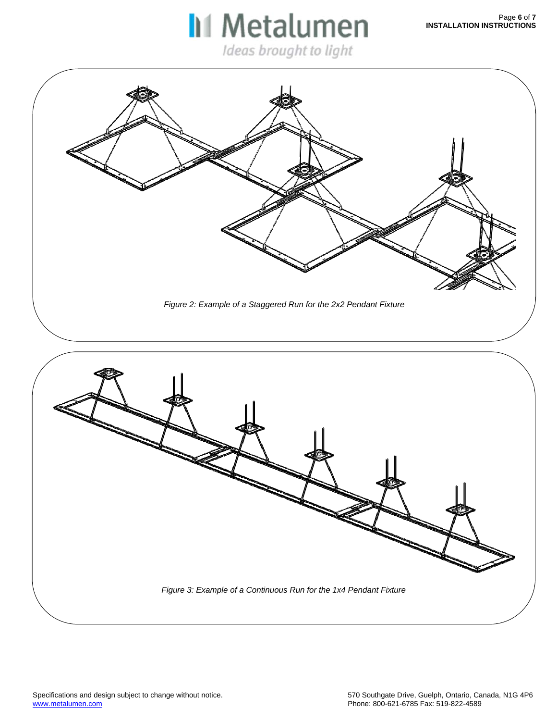# **II** Metalumen